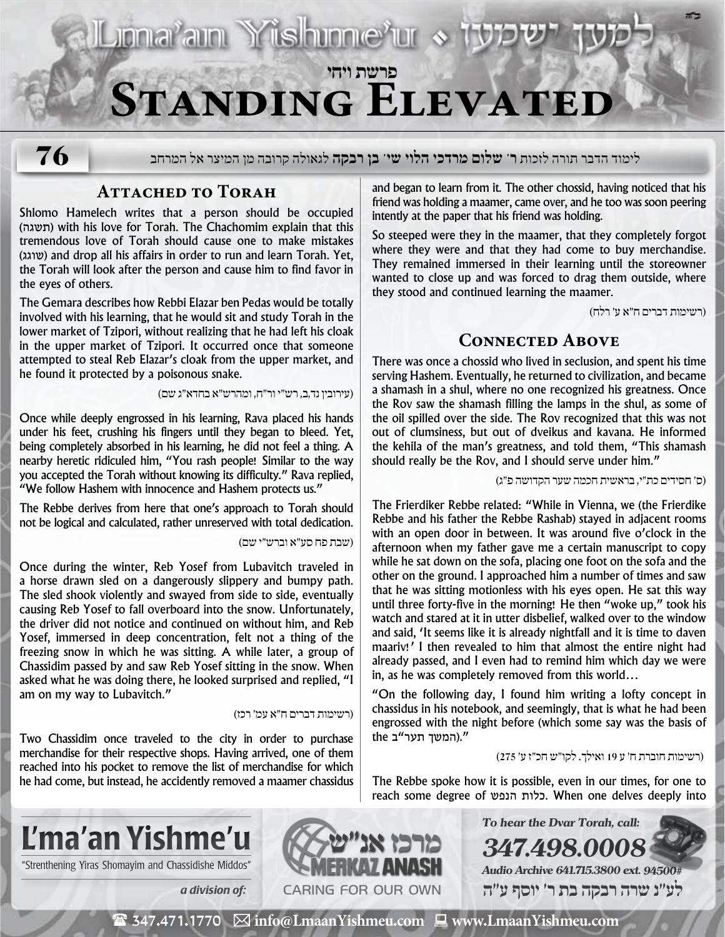

**76**

לימוד הדבר תורה לזכות **ר' שלום מרדכי הלוי שי' בן רבקה** לגאולה קרובה מן המיצר אל המרחב

# **Attached to Torah**

Shlomo Hamelech writes that a person should be occupied (תשגה (with his love for Torah. The Chachomim explain that this tremendous love of Torah should cause one to make mistakes (שוגג (and drop all his affairs in order to run and learn Torah. Yet, the Torah will look after the person and cause him to find favor in the eyes of others.

The Gemara describes how Rebbi Elazar ben Pedas would be totally involved with his learning, that he would sit and study Torah in the lower market of Tzipori, without realizing that he had left his cloak in the upper market of Tzipori. It occurred once that someone attempted to steal Reb Elazar's cloak from the upper market, and he found it protected by a poisonous snake.

)עירובין נד,ב, רש״י ור״ח, ומהרש״א בחדא״ג שם(

Once while deeply engrossed in his learning, Rava placed his hands under his feet, crushing his fingers until they began to bleed. Yet, being completely absorbed in his learning, he did not feel a thing. A nearby heretic ridiculed him, "You rash people! Similar to the way you accepted the Torah without knowing its difficulty." Rava replied, "We follow Hashem with innocence and Hashem protects us."

The Rebbe derives from here that one's approach to Torah should not be logical and calculated, rather unreserved with total dedication.

)שבת פח סע״א וברש״י שם(

Once during the winter, Reb Yosef from Lubavitch traveled in a horse drawn sled on a dangerously slippery and bumpy path. The sled shook violently and swayed from side to side, eventually causing Reb Yosef to fall overboard into the snow. Unfortunately, the driver did not notice and continued on without him, and Reb Yosef, immersed in deep concentration, felt not a thing of the freezing snow in which he was sitting. A while later, a group of Chassidim passed by and saw Reb Yosef sitting in the snow. When asked what he was doing there, he looked surprised and replied, "I am on my way to Lubavitch."

### )רשימות דברים ח״א עמ׳ רכז(

Two Chassidim once traveled to the city in order to purchase merchandise for their respective shops. Having arrived, one of them reached into his pocket to remove the list of merchandise for which he had come, but instead, he accidently removed a maamer chassidus and began to learn from it. The other chossid, having noticed that his friend was holding a maamer, came over, and he too was soon peering intently at the paper that his friend was holding.

So steeped were they in the maamer, that they completely forgot where they were and that they had come to buy merchandise. They remained immersed in their learning until the storeowner wanted to close up and was forced to drag them outside, where they stood and continued learning the maamer.

)רשימות דברים ח״א ע׳ רלח(

**ב"ה**

## **Connected Above**

There was once a chossid who lived in seclusion, and spent his time serving Hashem. Eventually, he returned to civilization, and became a shamash in a shul, where no one recognized his greatness. Once the Rov saw the shamash filling the lamps in the shul, as some of the oil spilled over the side. The Rov recognized that this was not out of clumsiness, but out of dveikus and kavana. He informed the kehila of the man's greatness, and told them, "This shamash should really be the Rov, and I should serve under him."

)ס׳ חסידים כת״י, בראשית חכמה שער הקדושה פ״ג(

The Frierdiker Rebbe related: "While in Vienna, we (the Frierdike Rebbe and his father the Rebbe Rashab) stayed in adjacent rooms with an open door in between. It was around five o'clock in the afternoon when my father gave me a certain manuscript to copy while he sat down on the sofa, placing one foot on the sofa and the other on the ground. I approached him a number of times and saw that he was sitting motionless with his eyes open. He sat this way until three forty-five in the morning! He then "woke up," took his watch and stared at it in utter disbelief, walked over to the window and said, 'It seems like it is already nightfall and it is time to daven maariv!' I then revealed to him that almost the entire night had already passed, and I even had to remind him which day we were in, as he was completely removed from this world…

"On the following day, I found him writing a lofty concept in chassidus in his notebook, and seemingly, that is what he had been engrossed with the night before (which some say was the basis of ".(המשך תער"ב the

)רשימות חוברת ח׳ ע 19 ואילך. לקו״ש חכ״ז ע׳ 275(

The Rebbe spoke how it is possible, even in our times, for one to reach some degree of הנפש כלות. When one delves deeply into

**347.498.0008**

**To hear the Dvar Torah, call:**

**Audio Archive 641.715.3800 ext. 94500# לע"נ שרה רבקה בת ר׳ יוסף ע"ה**



"Strenthening Yiras Shomayim and Chassidishe Middos"



( 347.471.1770 **info@LmaanYishmeu.com www.LmaanYishmeu.com**  $\mathbf{m}$  and  $\mathbf{m}$  and  $\mathbf{m}$